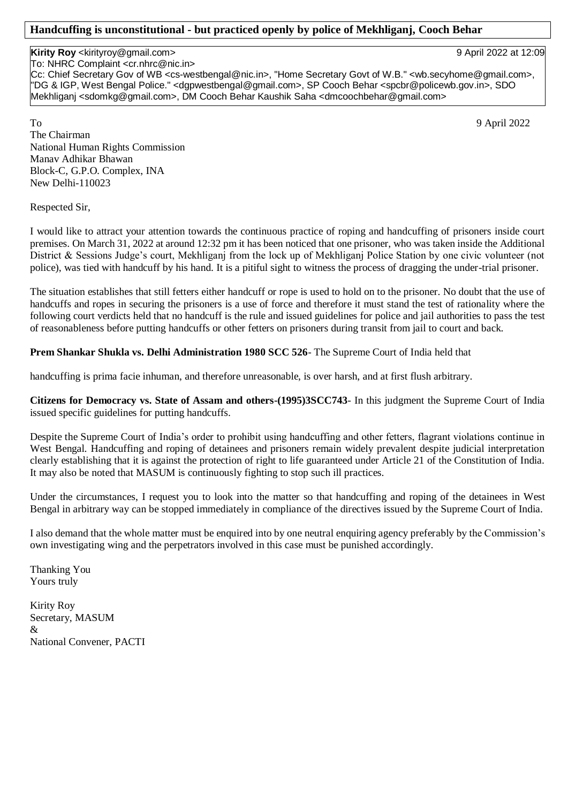## **Handcuffing is unconstitutional - but practiced openly by police of Mekhliganj, Cooch Behar**

## **Kirity Roy** <kirityroy@gmail.com> 9 April 2022 at 12:09

To: NHRC Complaint <cr.nhrc@nic.in>

Cc: Chief Secretary Gov of WB <cs-westbengal@nic.in>, "Home Secretary Govt of W.B." <wb.secyhome@gmail.com>, "DG & IGP, West Bengal Police." <dgpwestbengal@gmail.com>, SP Cooch Behar <spcbr@policewb.gov.in>, SDO Mekhliganj <sdomkg@gmail.com>, DM Cooch Behar Kaushik Saha <dmcoochbehar@gmail.com>

To 9 April 2022 The Chairman National Human Rights Commission Manav Adhikar Bhawan Block-C, G.P.O. Complex, INA New Delhi-110023

Respected Sir,

I would like to attract your attention towards the continuous practice of roping and handcuffing of prisoners inside court premises. On March 31, 2022 at around 12:32 pm it has been noticed that one prisoner, who was taken inside the Additional District & Sessions Judge's court, Mekhliganj from the lock up of Mekhliganj Police Station by one civic volunteer (not police), was tied with handcuff by his hand. It is a pitiful sight to witness the process of dragging the under-trial prisoner.

The situation establishes that still fetters either handcuff or rope is used to hold on to the prisoner. No doubt that the use of handcuffs and ropes in securing the prisoners is a use of force and therefore it must stand the test of rationality where the following court verdicts held that no handcuff is the rule and issued guidelines for police and jail authorities to pass the test of reasonableness before putting handcuffs or other fetters on prisoners during transit from jail to court and back.

## **Prem Shankar Shukla vs. Delhi Administration 1980 SCC 526**- The Supreme Court of India held that

handcuffing is prima facie inhuman, and therefore unreasonable, is over harsh, and at first flush arbitrary.

**Citizens for Democracy vs. State of Assam and others-(1995)3SCC743**- In this judgment the Supreme Court of India issued specific guidelines for putting handcuffs.

Despite the Supreme Court of India's order to prohibit using handcuffing and other fetters, flagrant violations continue in West Bengal. Handcuffing and roping of detainees and prisoners remain widely prevalent despite judicial interpretation clearly establishing that it is against the protection of right to life guaranteed under Article 21 of the Constitution of India. It may also be noted that MASUM is continuously fighting to stop such ill practices.

Under the circumstances, I request you to look into the matter so that handcuffing and roping of the detainees in West Bengal in arbitrary way can be stopped immediately in compliance of the directives issued by the Supreme Court of India.

I also demand that the whole matter must be enquired into by one neutral enquiring agency preferably by the Commission's own investigating wing and the perpetrators involved in this case must be punished accordingly.

Thanking You Yours truly

Kirity Roy Secretary, MASUM & National Convener, PACTI